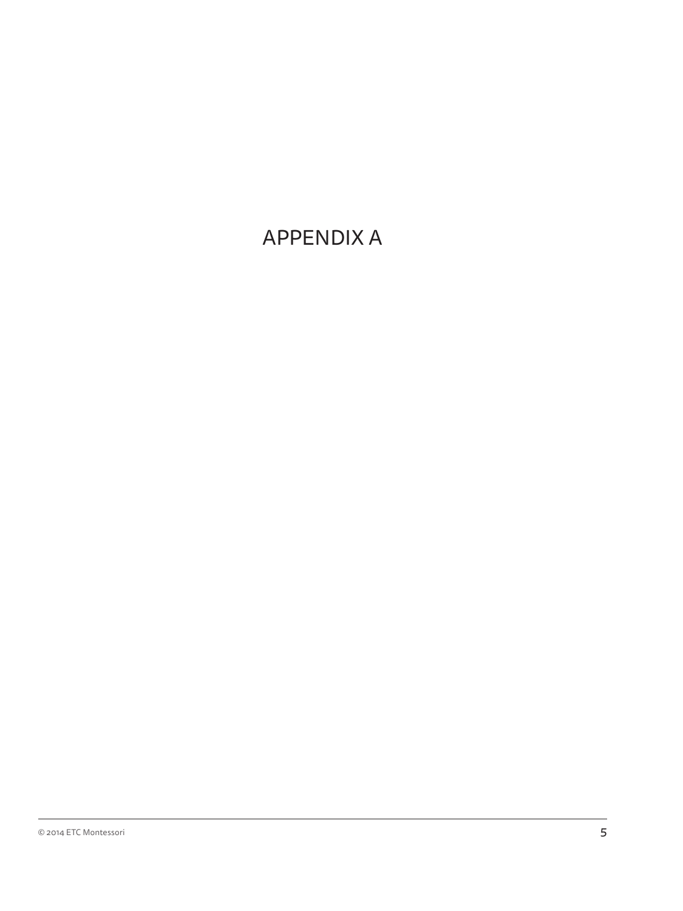# APPENDIX A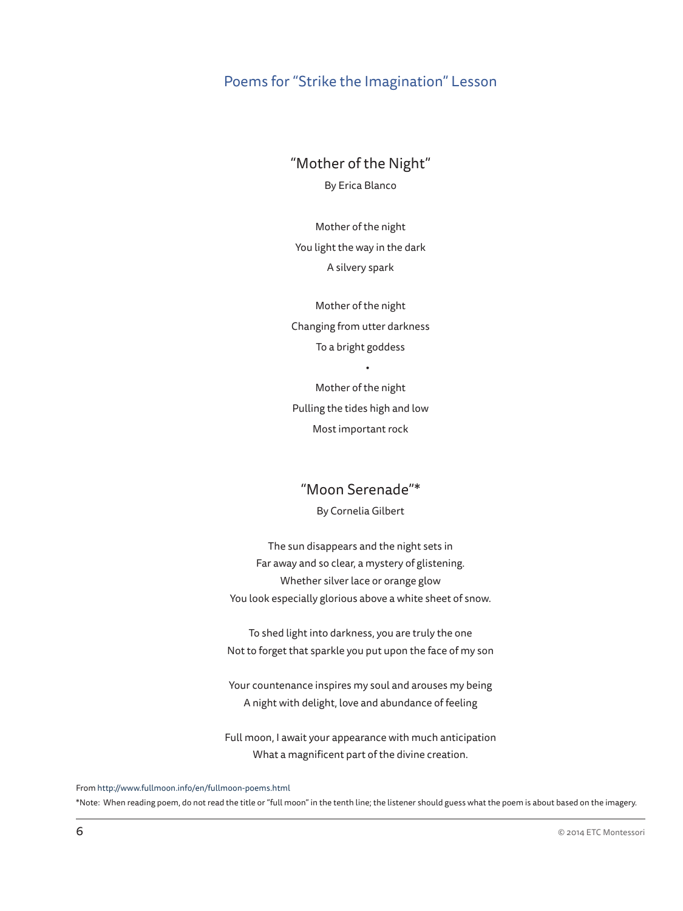## Poems for "Strike the Imagination" Lesson

"Mother of the Night"

By Erica Blanco

Mother of the night You light the way in the dark A silvery spark

Mother of the night Changing from utter darkness To a bright goddess

Mother of the night Pulling the tides high and low Most important rock

•

### "Moon Serenade"\*

By Cornelia Gilbert

The sun disappears and the night sets in Far away and so clear, a mystery of glistening. Whether silver lace or orange glow You look especially glorious above a white sheet of snow.

To shed light into darkness, you are truly the one Not to forget that sparkle you put upon the face of my son

Your countenance inspires my soul and arouses my being A night with delight, love and abundance of feeling

Full moon, I await your appearance with much anticipation What a magnificent part of the divine creation.

From http://www.fullmoon.info/en/fullmoon-poems.html

\*Note: When reading poem, do not read the title or "full moon" in the tenth line; the listener should guess what the poem is about based on the imagery.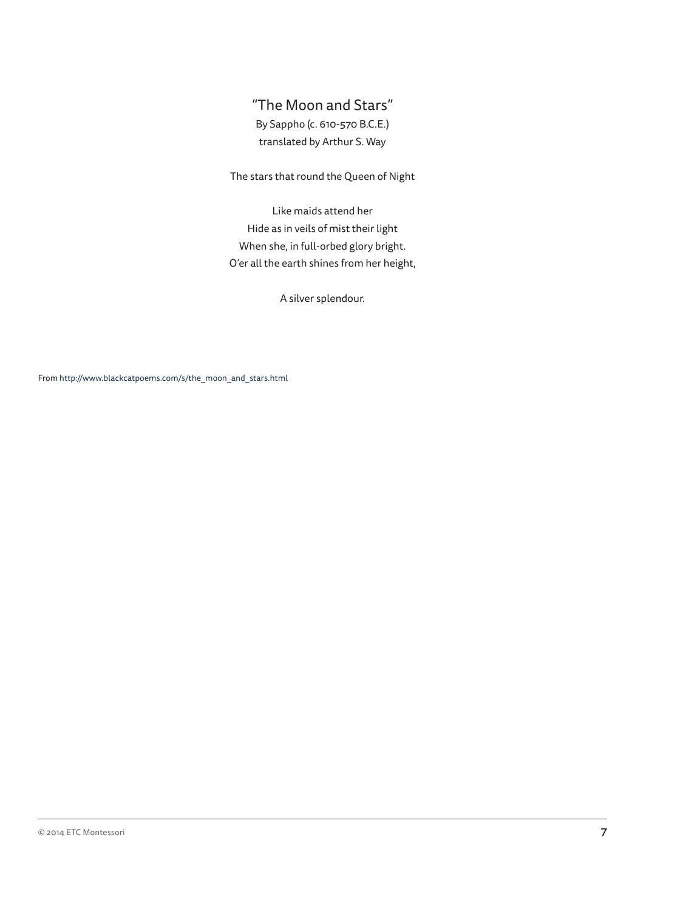## "The Moon and Stars" By Sappho (c. 610-570 B.C.E.) translated by Arthur S. Way

#### The stars that round the Queen of Night

Like maids attend her Hide as in veils of mist their light When she, in full-orbed glory bright. O'er all the earth shines from her height,

A silver splendour.

From http://www.blackcatpoems.com/s/the\_moon\_and\_stars.html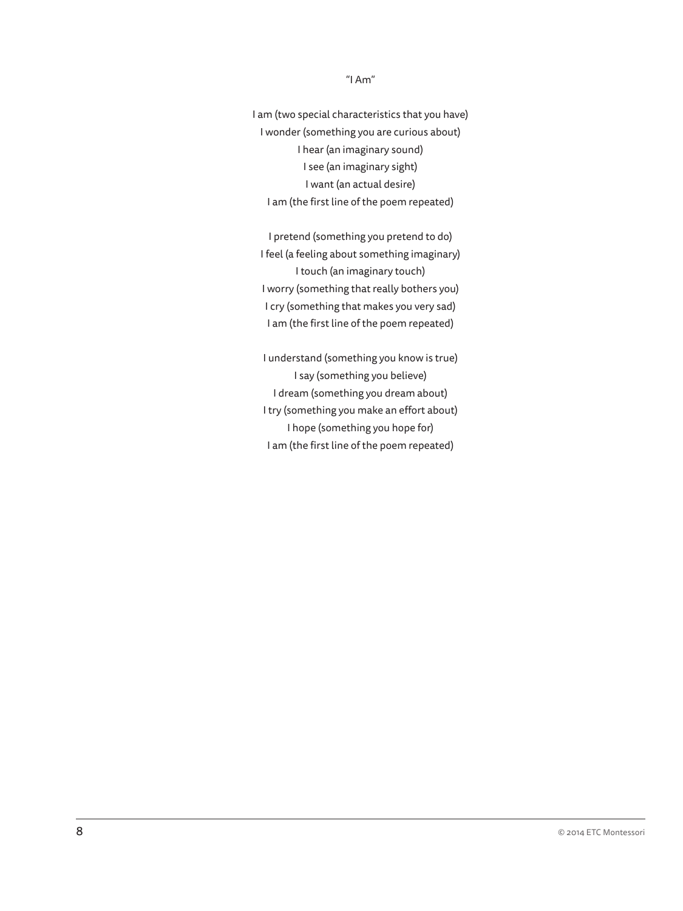#### "I Am"

I am (two special characteristics that you have) I wonder (something you are curious about) I hear (an imaginary sound) I see (an imaginary sight) I want (an actual desire) I am (the first line of the poem repeated)

I pretend (something you pretend to do) I feel (a feeling about something imaginary) I touch (an imaginary touch) I worry (something that really bothers you) I cry (something that makes you very sad) I am (the first line of the poem repeated)

I understand (something you know is true) I say (something you believe) I dream (something you dream about) I try (something you make an effort about) I hope (something you hope for) I am (the first line of the poem repeated)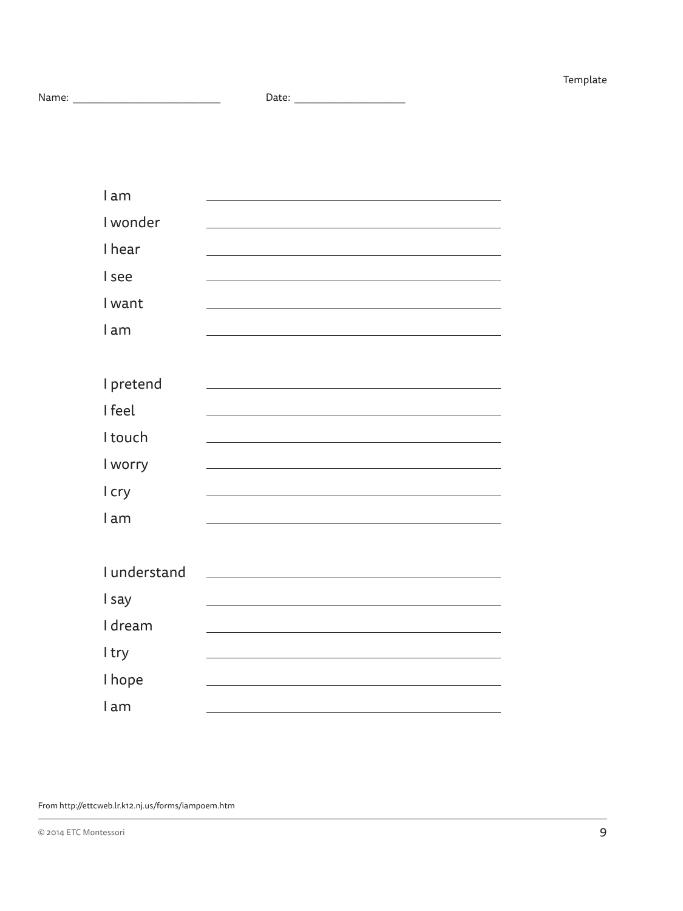```
Name: ____________________________ Date: _____________________
```

| Date: |  |  |
|-------|--|--|
|       |  |  |

| I am         |  |
|--------------|--|
| I wonder     |  |
| I hear       |  |
| I see        |  |
| I want       |  |
| l am         |  |
|              |  |
| I pretend    |  |
| I feel       |  |
| I touch      |  |
| I worry      |  |
| I cry        |  |
| l am         |  |
|              |  |
| I understand |  |
| I say        |  |
| I dream      |  |
| I try        |  |
| I hope       |  |
| lam          |  |

From http://ettcweb.lr.k12.nj.us/forms/iampoem.htm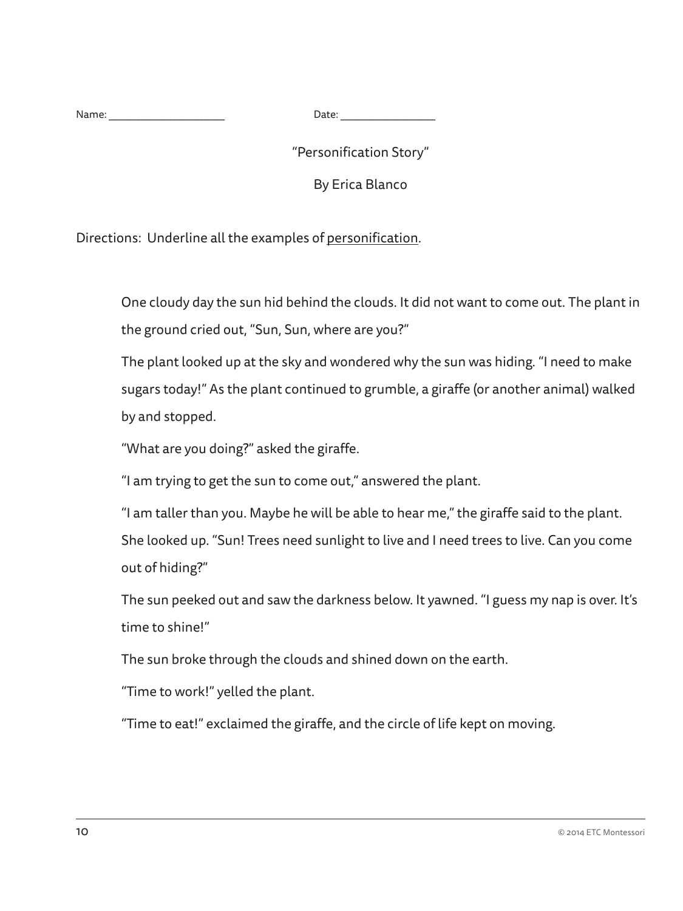Name: \_\_\_\_\_\_\_\_\_\_\_\_\_\_\_\_\_\_\_\_\_\_ Date: \_\_\_\_\_\_\_\_\_\_\_\_\_\_\_\_\_\_

"Personification Story"

By Erica Blanco

Directions: Underline all the examples of personification.

One cloudy day the sun hid behind the clouds. It did not want to come out. The plant in the ground cried out, "Sun, Sun, where are you?"

The plant looked up at the sky and wondered why the sun was hiding. "I need to make sugars today!" As the plant continued to grumble, a giraffe (or another animal) walked by and stopped.

"What are you doing?" asked the giraffe.

"I am trying to get the sun to come out," answered the plant.

"I am taller than you. Maybe he will be able to hear me," the giraffe said to the plant. She looked up. "Sun! Trees need sunlight to live and I need trees to live. Can you come out of hiding?"

The sun peeked out and saw the darkness below. It yawned. "I guess my nap is over. It's time to shine!"

The sun broke through the clouds and shined down on the earth.

"Time to work!" yelled the plant.

"Time to eat!" exclaimed the giraffe, and the circle of life kept on moving.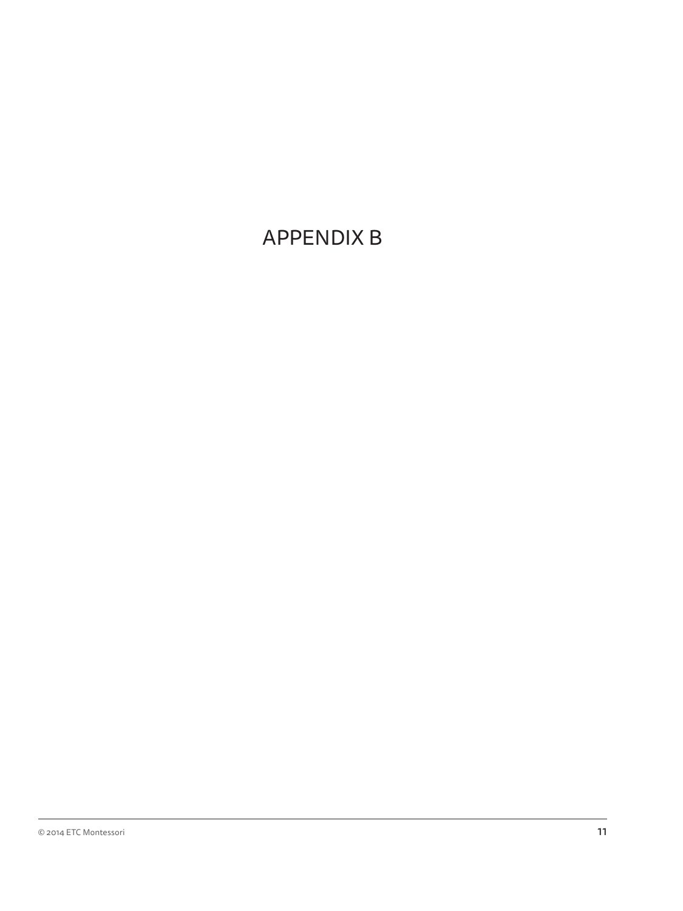# APPENDIX B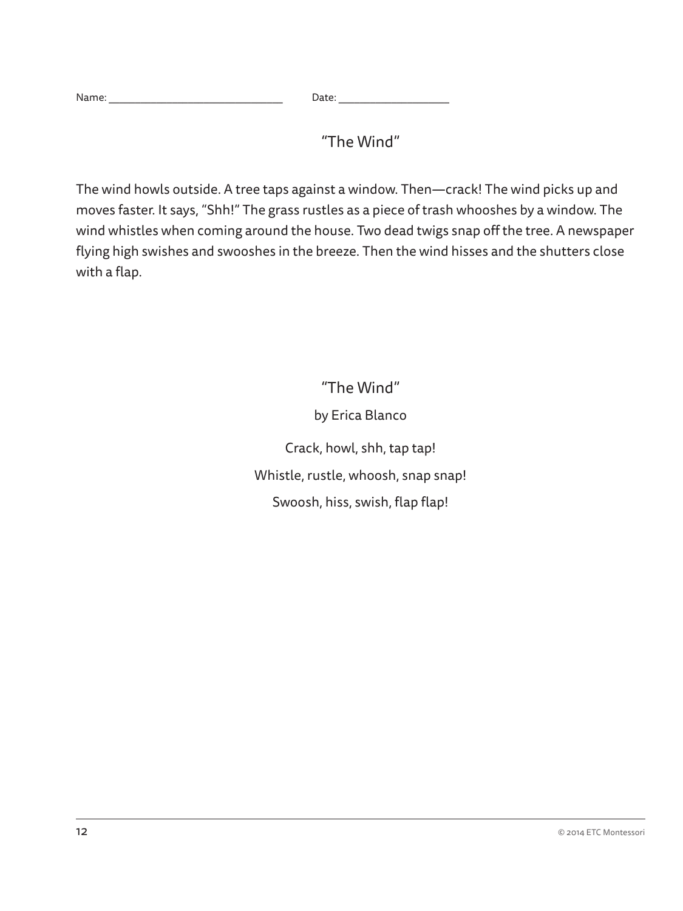| Nar.<br>.<br>. | ucc. |  |
|----------------|------|--|
|                |      |  |

"The Wind"

The wind howls outside. A tree taps against a window. Then—crack! The wind picks up and moves faster. It says, "Shh!" The grass rustles as a piece of trash whooshes by a window. The wind whistles when coming around the house. Two dead twigs snap off the tree. A newspaper flying high swishes and swooshes in the breeze. Then the wind hisses and the shutters close with a flap.

> "The Wind" by Erica Blanco Crack, howl, shh, tap tap! Whistle, rustle, whoosh, snap snap! Swoosh, hiss, swish, flap flap!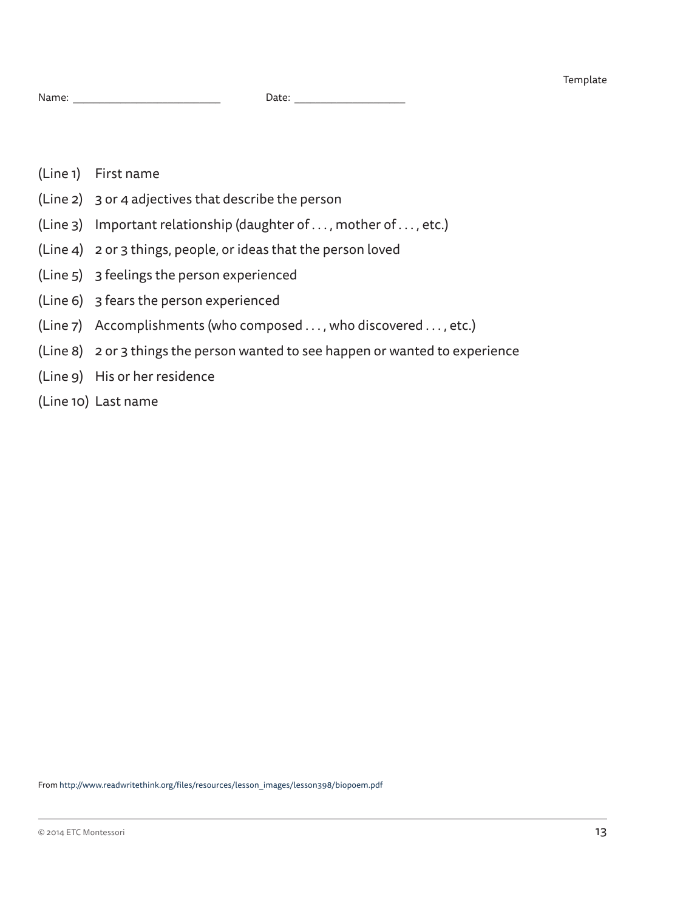- (Line 1) First name
- (Line 2) 3 or 4 adjectives that describe the person
- (Line 3) Important relationship (daughter of . . . , mother of . . . , etc.)
- (Line 4) 2 or 3 things, people, or ideas that the person loved
- (Line 5) 3 feelings the person experienced
- (Line 6) 3 fears the person experienced
- (Line 7) Accomplishments (who composed . . . , who discovered . . . , etc.)
- (Line 8) 2 or 3 things the person wanted to see happen or wanted to experience
- (Line 9) His or her residence
- (Line 10) Last name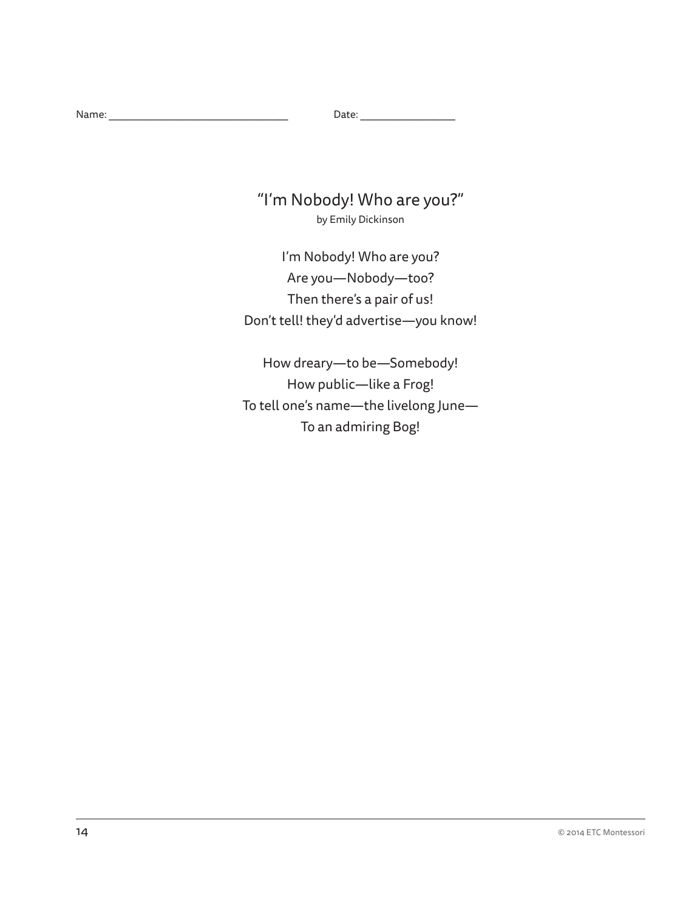## "I'm Nobody! Who are you?" by Emily Dickinson

I'm Nobody! Who are you? Are you—Nobody—too? Then there's a pair of us! Don't tell! they'd advertise—you know!

How dreary—to be—Somebody! How public—like a Frog! To tell one's name—the livelong June— To an admiring Bog!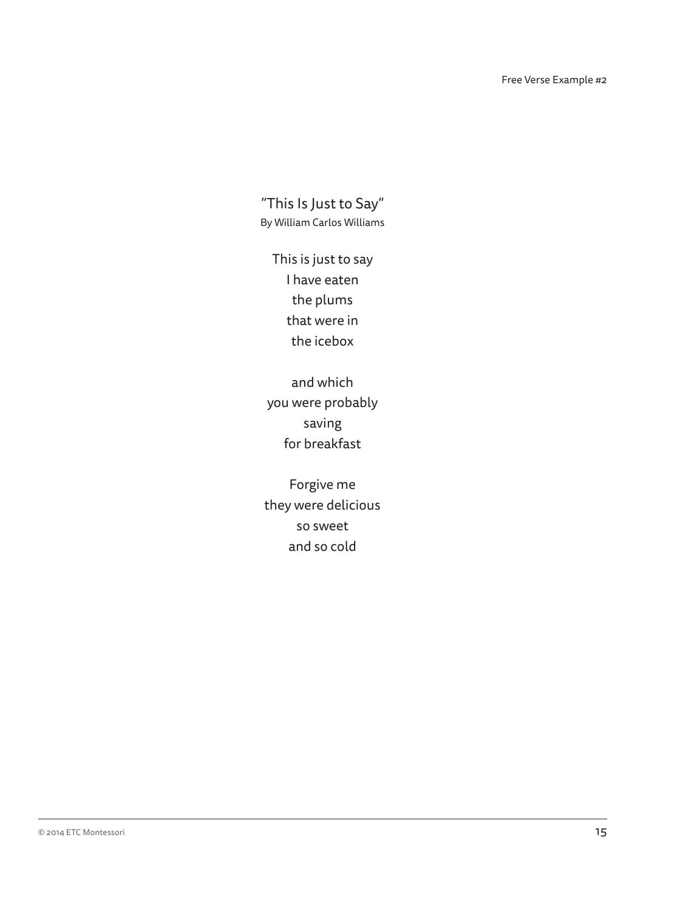"This Is Just to Say" By William Carlos Williams

This is just to say I have eaten the plums that were in the icebox

and which you were probably saving for breakfast

Forgive me they were delicious so sweet and so cold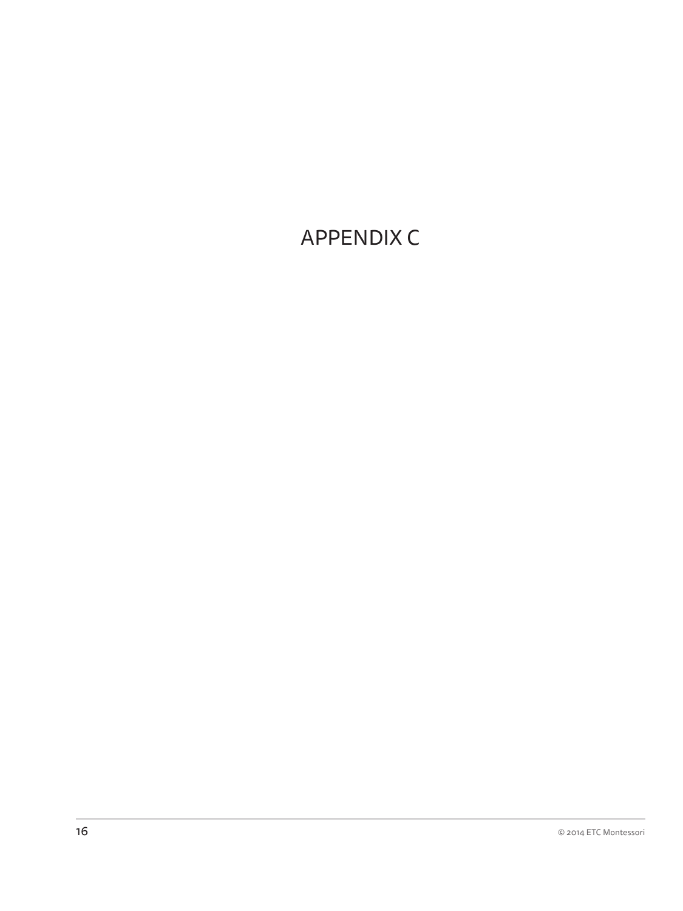# APPENDIX C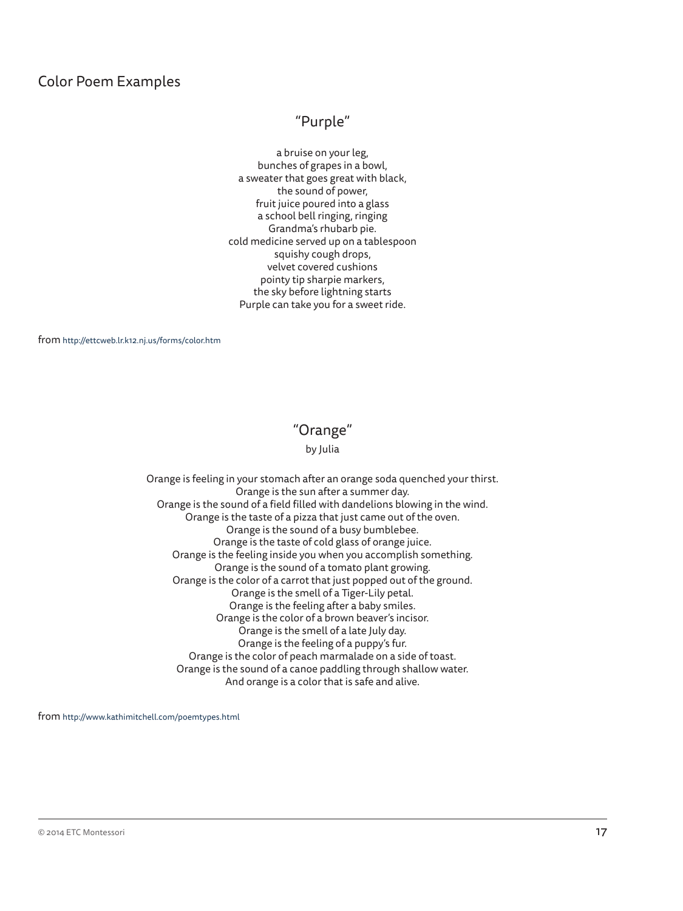#### Color Poem Examples

### "Purple"

a bruise on your leg, bunches of grapes in a bowl, a sweater that goes great with black, the sound of power, fruit juice poured into a glass a school bell ringing, ringing Grandma's rhubarb pie. cold medicine served up on a tablespoon squishy cough drops, velvet covered cushions pointy tip sharpie markers, the sky before lightning starts Purple can take you for a sweet ride.

from http://ettcweb.lr.k12.nj.us/forms/color.htm

#### "Orange"

#### by Julia

Orange is feeling in your stomach after an orange soda quenched your thirst. Orange is the sun after a summer day. Orange is the sound of a field filled with dandelions blowing in the wind. Orange is the taste of a pizza that just came out of the oven. Orange is the sound of a busy bumblebee. Orange is the taste of cold glass of orange juice. Orange is the feeling inside you when you accomplish something. Orange is the sound of a tomato plant growing. Orange is the color of a carrot that just popped out of the ground. Orange is the smell of a Tiger-Lily petal. Orange is the feeling after a baby smiles. Orange is the color of a brown beaver's incisor. Orange is the smell of a late July day. Orange is the feeling of a puppy's fur. Orange is the color of peach marmalade on a side of toast. Orange is the sound of a canoe paddling through shallow water. And orange is a color that is safe and alive.

from http://www.kathimitchell.com/poemtypes.html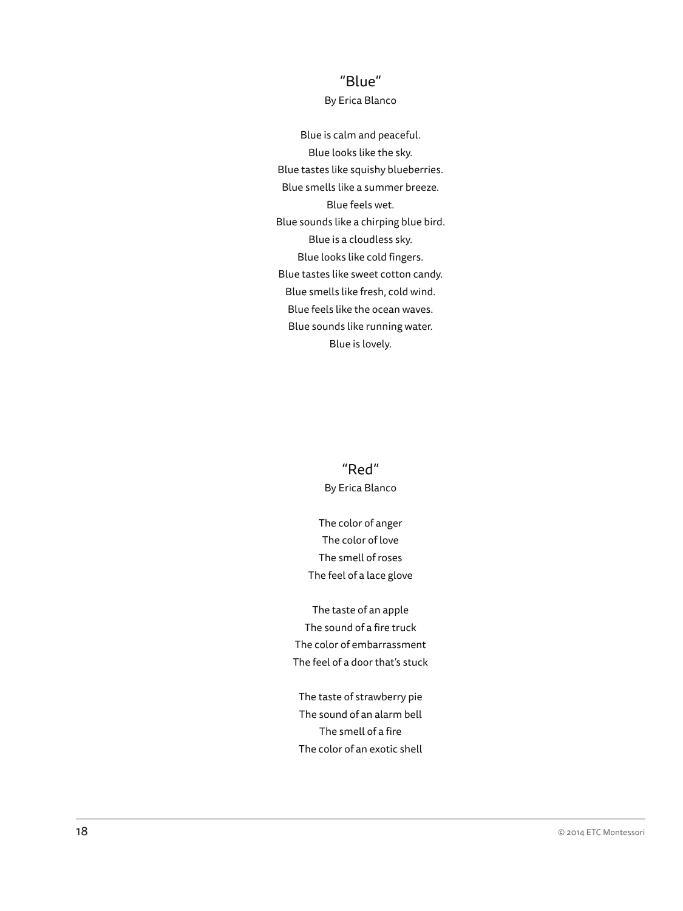### "Blue"

#### By Erica Blanco

Blue is calm and peaceful. Blue looks like the sky. Blue tastes like squishy blueberries. Blue smells like a summer breeze. Blue feels wet. Blue sounds like a chirping blue bird. Blue is a cloudless sky. Blue looks like cold fingers. Blue tastes like sweet cotton candy. Blue smells like fresh, cold wind. Blue feels like the ocean waves. Blue sounds like running water. Blue is lovely.

> "Red" By Erica Blanco

The color of anger The color of love The smell of roses The feel of a lace glove

The taste of an apple The sound of a fire truck The color of embarrassment The feel of a door that's stuck

The taste of strawberry pie The sound of an alarm bell The smell of a fire The color of an exotic shell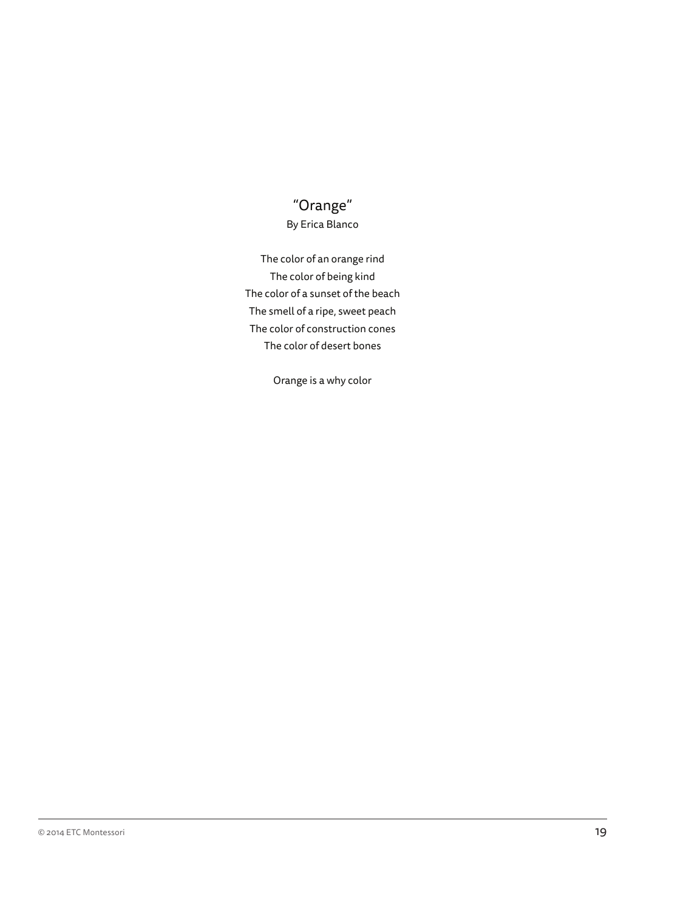## "Orange" By Erica Blanco

The color of an orange rind The color of being kind The color of a sunset of the beach The smell of a ripe, sweet peach The color of construction cones The color of desert bones

Orange is a why color